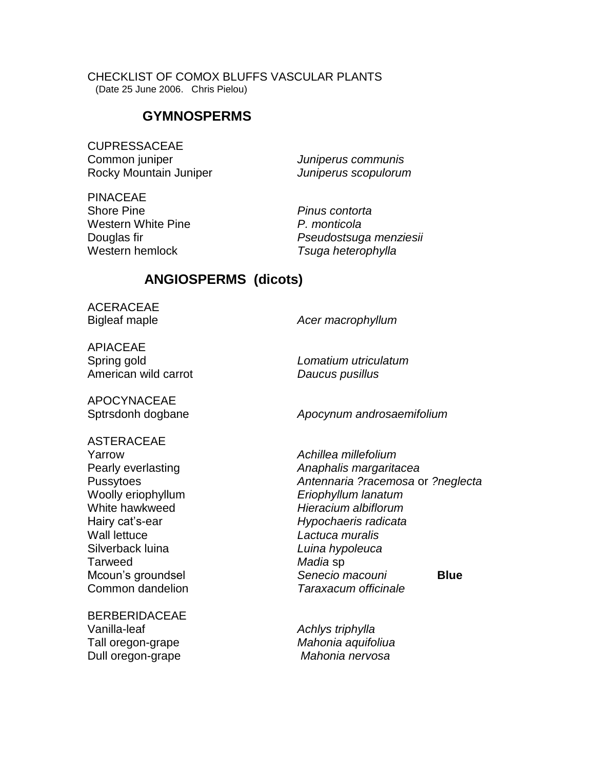CHECKLIST OF COMOX BLUFFS VASCULAR PLANTS (Date 25 June 2006. Chris Pielou)

### **GYMNOSPERMS**

CUPRESSACEAE Common juniper *Juniperus communis* Rocky Mountain Juniper *Juniperus scopulorum* 

PINACEAE Shore Pine *Pinus contorta*  Western White Pine *P. monticola* Western hemlock *Tsuga heterophylla*

Douglas fir *Pseudostsuga menziesii*

## **ANGIOSPERMS (dicots)**

ACERACEAE

Bigleaf maple *Acer macrophyllum*

APIACEAE Spring gold *Lomatium utriculatum* American wild carrot *Daucus pusillus*

APOCYNACEAE

ASTERACEAE Yarrow *Achillea millefolium* Wall lettuce *Lactuca muralis* Silverback luina *Luina hypoleuca* Tarweed *Madia* sp

BERBERIDACEAE Vanilla-leaf *Achlys triphylla* Tall oregon-grape *Mahonia aquifoliua* Dull oregon-grape *Mahonia nervosa*

Sptrsdonh dogbane *Apocynum androsaemifolium*

Pearly everlasting *Anaphalis margaritacea* Pussytoes *Antennaria ?racemosa* or *?neglecta* Woolly eriophyllum *Eriophyllum lanatum* White hawkweed *Hieracium albiflorum* Hairy cat's-ear *Hypochaeris radicata* Mcoun's groundsel *Senecio macouni* **Blue** Common dandelion *Taraxacum officinale*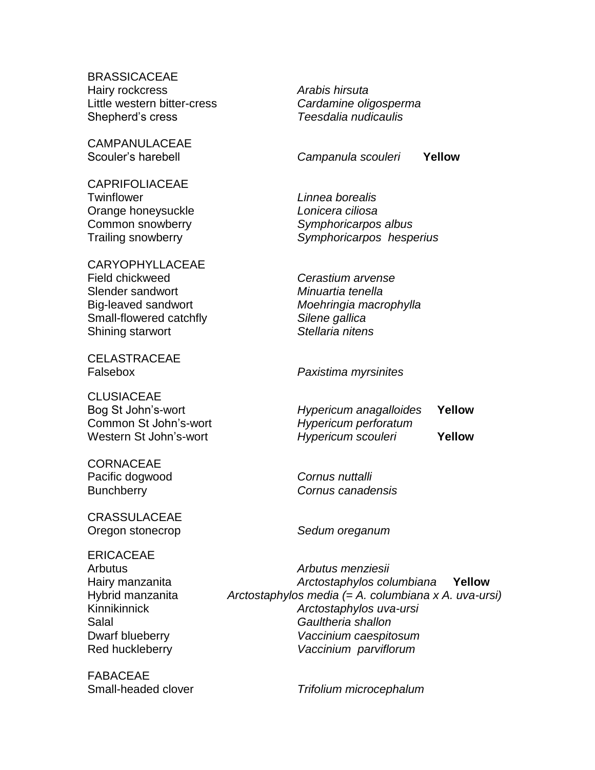**BRASSICACEAE** Hairy rockcress *Arabis hirsuta* Little western bitter-cress *Cardamine oligosperma* Shepherd's cress *Teesdalia nudicaulis*

CAMPANULACEAE

CAPRIFOLIACEAE Twinflower *Linnea borealis* Orange honeysuckle *Lonicera ciliosa*

CARYOPHYLLACEAE Field chickweed *Cerastium arvense* Slender sandwort *Minuartia tenella* Small-flowered catchfly *Silene gallica* Shining starwort *Stellaria nitens*

**CELASTRACEAE** 

CLUSIACEAE Common St John's-wort *Hypericum perforatum*

**CORNACEAE** Pacific dogwood *Cornus nuttalli*

CRASSULACEAE Oregon stonecrop *Sedum oreganum*

ERICACEAE

FABACEAE

Scouler's harebell *Campanula scouleri* **Yellow**

Common snowberry *Symphoricarpos albus* Trailing snowberry *Symphoricarpos hesperius*

Big-leaved sandwort *Moehringia macrophylla*

Falsebox *Paxistima myrsinites*

Bog St John's-wort *Hypericum anagalloides* **Yellow** Western St John's-wort *Hypericum scouleri* **Yellow**

Bunchberry *Cornus canadensis*

Arbutus *Arbutus menziesii* Hairy manzanita *Arctostaphylos columbiana* **Yellow** Hybrid manzanita *Arctostaphylos media (= A. columbiana x A. uva-ursi)* Kinnikinnick *Arctostaphylos uva-ursi* Salal *Gaultheria shallon* Dwarf blueberry *Vaccinium caespitosum* Red huckleberry *Vaccinium parviflorum*

Small-headed clover *Trifolium microcephalum*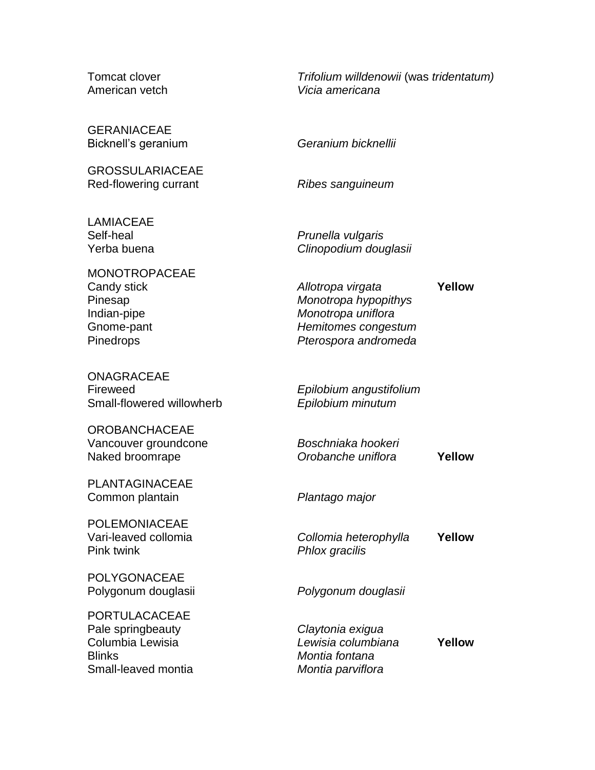Tomcat clover *Trifolium willdenowii* (was *tridentatum)* American vetch *Vicia americana*

**GERANIACEAE** Bicknell's geranium *Geranium bicknellii*

GROSSULARIACEAE Red-flowering currant *Ribes sanguineum*

LAMIACEAE Self-heal *Prunella vulgaris*

MONOTROPACEAE Candy stick *Allotropa virgata* **Yellow** Indian-pipe *Monotropa uniflora*

ONAGRACEAE Fireweed *Epilobium angustifolium* Small-flowered willowherb *Epilobium minutum*

OROBANCHACEAE Vancouver groundcone *Boschniaka hookeri*

PLANTAGINACEAE Common plantain *Plantago major*

POLEMONIACEAE Pink twink *Phlox gracilis*

POLYGONACEAE

PORTULACACEAE Pale springbeauty *Claytonia exigua* Blinks *Montia fontana*  Small-leaved montia *Montia parviflora*

Yerba buena *Clinopodium douglasii*

Pinesap *Monotropa hypopithys* Gnome-pant *Hemitomes congestum* Pinedrops *Pterospora andromeda*

Naked broomrape *Orobanche uniflora* **Yellow**

Vari-leaved collomia *Collomia heterophylla* **Yellow**

Polygonum douglasii *Polygonum douglasii*

Columbia Lewisia *Lewisia columbiana* **Yellow**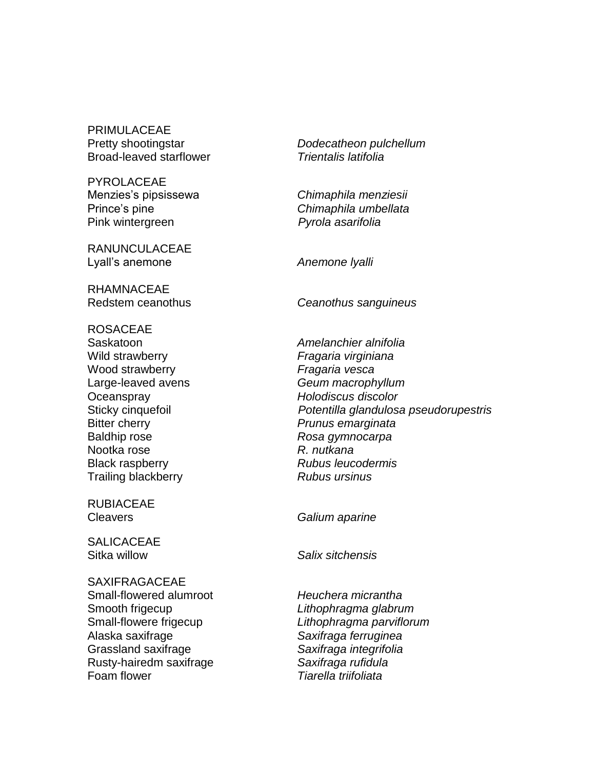PRIMULACEAE Broad-leaved starflower *Trientalis latifolia*

PYROLACEAE Pink wintergreen *Pyrola asarifolia*

RANUNCULACEAE Lyall's anemone **Anemone** *Ivalli Anemone Ivalli* 

RHAMNACEAE

ROSACEAE Wild strawberry *Fragaria virginiana* Wood strawberry *Fragaria vesca* Oceanspray *Holodiscus discolor* Bitter cherry *Prunus emarginata* Baldhip rose *Rosa gymnocarpa* Nootka rose *R. nutkana* Black raspberry *Rubus leucodermis* Trailing blackberry *Rubus ursinus*

RUBIACEAE

**SALICACEAE** 

**SAXIFRAGACEAE** Small-flowered alumroot *Heuchera micrantha* Smooth frigecup *Lithophragma glabrum* Alaska saxifrage *Saxifraga ferruginea* Grassland saxifrage *Saxifraga integrifolia* Rusty-hairedm saxifrage *Saxifraga rufidula* Foam flower *Tiarella triifoliata*

Pretty shootingstar *Dodecatheon pulchellum*

Menzies's pipsissewa *Chimaphila menziesii* Prince's pine *Chimaphila umbellata*

Redstem ceanothus *Ceanothus sanguineus*

Saskatoon *Amelanchier alnifolia* Large-leaved avens *Geum macrophyllum* Sticky cinquefoil *Potentilla glandulosa pseudorupestris*

Cleavers *Galium aparine*

Sitka willow *Salix sitchensis*

Small-flowere frigecup *Lithophragma parviflorum*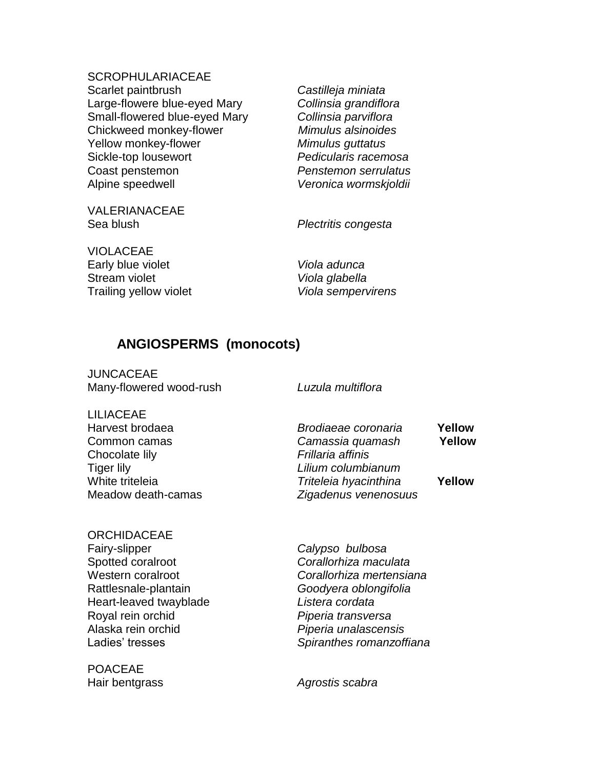**SCROPHULARIACEAE** Scarlet paintbrush *Castilleja miniata* Large-flowere blue-eyed Mary *Collinsia grandiflora* Small-flowered blue-eyed Mary *Collinsia parviflora* Chickweed monkey-flower *Mimulus alsinoides* Yellow monkey-flower *Mimulus guttatus* Sickle-top lousewort *Pedicularis racemosa* Coast penstemon *Penstemon serrulatus* Alpine speedwell *Veronica wormskjoldii*

VALERIANACEAE Sea blush *Plectritis congesta*

VIOLACEAE Early blue violet *Viola adunca* Stream violet *Viola glabella* Trailing yellow violet *Viola sempervirens*

# **ANGIOSPERMS (monocots)**

JUNCACEAE Many-flowered wood-rush *Luzula multiflora*

LILIACEAE Chocolate lily *Frillaria affinis* Tiger lily *Lilium columbianum*

Harvest brodaea *Brodiaeae coronaria* **Yellow** Common camas *Camassia quamash* **Yellow** White triteleia *Triteleia hyacinthina* **Yellow** Meadow death-camas *Zigadenus venenosuus*

# **ORCHIDACEAE** Fairy-slipper *Calypso bulbosa* Spotted coralroot *Corallorhiza maculata* Rattlesnale-plantain *Goodyera oblongifolia* Heart-leaved twayblade *Listera cordata* Royal rein orchid *Piperia transversa* Alaska rein orchid *Piperia unalascensis*

POACEAE

Western coralroot *Corallorhiza mertensiana* Ladies' tresses *Spiranthes romanzoffiana*

Hair bentgrass *Agrostis scabra*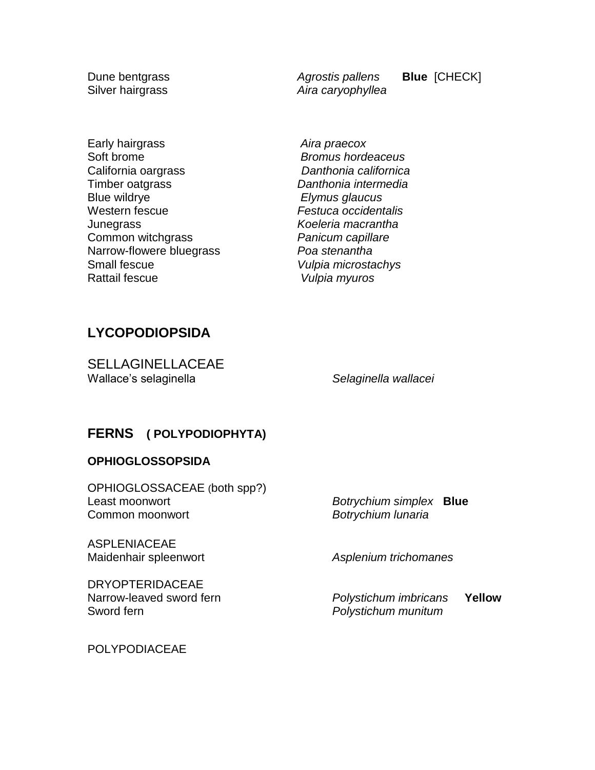Dune bentgrass *Agrostis pallens* **Blue** [CHECK] Silver hairgrass *Aira caryophyllea*

Early hairgrass *Aira praecox* Soft brome *Bromus hordeaceus* California oargrass *Danthonia californica* Timber oatgrass *Danthonia intermedia* Blue wildrye *Elymus glaucus* Western fescue *Festuca occidentalis*

Junegrass *Koeleria macrantha* Common witchgrass *Panicum capillare* Narrow-flowere bluegrass *Poa stenantha* Small fescue *Vulpia microstachys* Rattail fescue *Vulpia myuros*

# **LYCOPODIOPSIDA**

SELLAGINELLACEAE Wallace's selaginella *Selaginella wallacei*

## **FERNS ( POLYPODIOPHYTA)**

#### **OPHIOGLOSSOPSIDA**

OPHIOGLOSSACEAE (both spp?) Least moonwort *Botrychium simplex* **Blue** Common moonwort *Botrychium lunaria* 

ASPLENIACEAE Maidenhair spleenwort *Asplenium trichomanes*

DRYOPTERIDACEAE

Narrow-leaved sword fern *Polystichum imbricans* **Yellow Polystichum munitum** 

POLYPODIACEAE